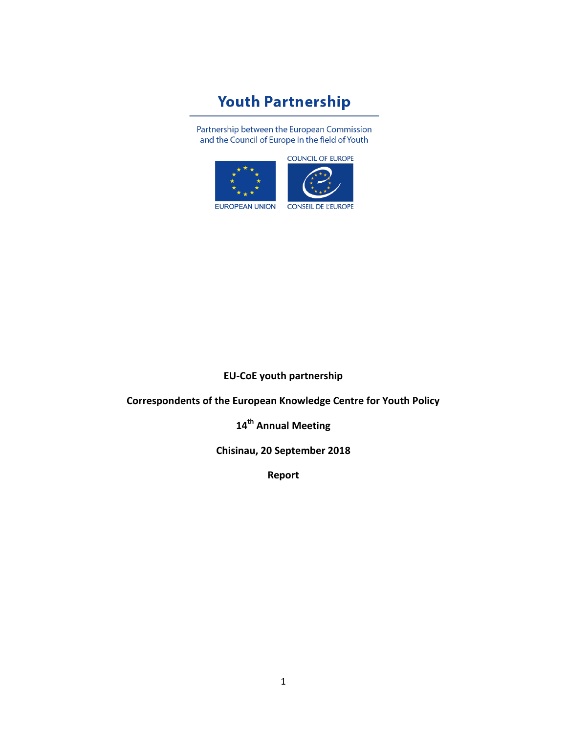# **Youth Partnership**

Partnership between the European Commission and the Council of Europe in the field of Youth





**CONSEIL DE L'EUROPE** 

**EU-CoE youth partnership**

**Correspondents of the European Knowledge Centre for Youth Policy**

**14th Annual Meeting**

**Chisinau, 20 September 2018**

**Report**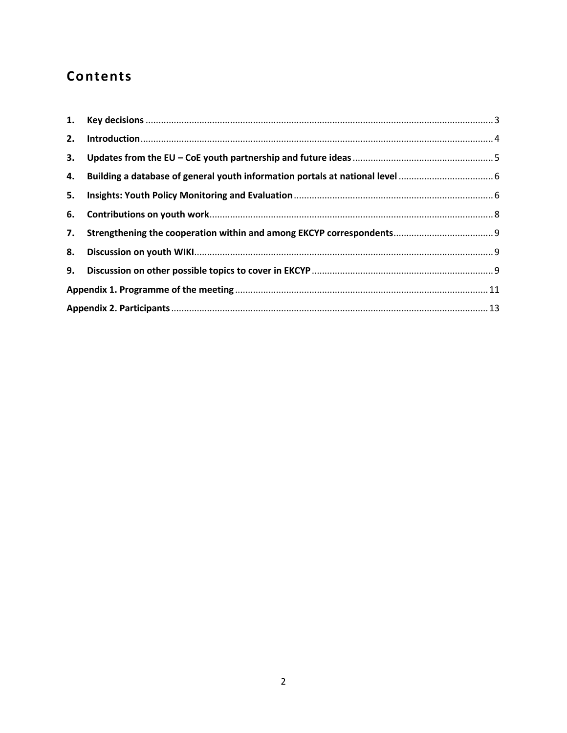# Contents

| 2. |  |  |  |
|----|--|--|--|
| 3. |  |  |  |
|    |  |  |  |
| 5. |  |  |  |
| 6. |  |  |  |
|    |  |  |  |
|    |  |  |  |
|    |  |  |  |
|    |  |  |  |
|    |  |  |  |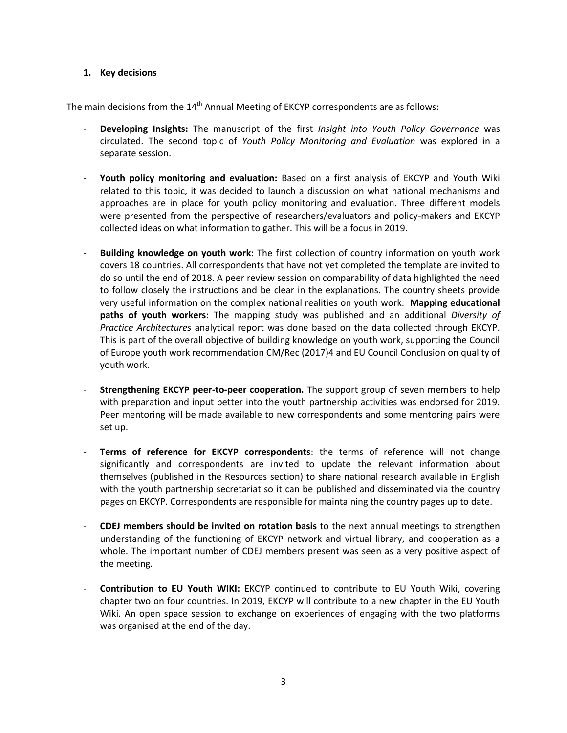#### <span id="page-2-0"></span>**1. Key decisions**

The main decisions from the 14<sup>th</sup> Annual Meeting of EKCYP correspondents are as follows:

- **Developing Insights:** The manuscript of the first *Insight into Youth Policy Governance* was circulated. The second topic of *Youth Policy Monitoring and Evaluation* was explored in a separate session.
- Youth policy monitoring and evaluation: Based on a first analysis of EKCYP and Youth Wiki related to this topic, it was decided to launch a discussion on what national mechanisms and approaches are in place for youth policy monitoring and evaluation. Three different models were presented from the perspective of researchers/evaluators and policy-makers and EKCYP collected ideas on what information to gather. This will be a focus in 2019.
- **Building knowledge on youth work:** The first collection of country information on youth work covers 18 countries. All correspondents that have not yet completed the template are invited to do so until the end of 2018. A peer review session on comparability of data highlighted the need to follow closely the instructions and be clear in the explanations. The country sheets provide very useful information on the complex national realities on youth work. **Mapping educational paths of youth workers**: The mapping study was published and an additional *Diversity of Practice Architectures* analytical report was done based on the data collected through EKCYP. This is part of the overall objective of building knowledge on youth work, supporting the Council of Europe youth work recommendation CM/Rec (2017)4 and EU Council Conclusion on quality of youth work.
- **Strengthening EKCYP peer-to-peer cooperation.** The support group of seven members to help with preparation and input better into the youth partnership activities was endorsed for 2019. Peer mentoring will be made available to new correspondents and some mentoring pairs were set up.
- **Terms of reference for EKCYP correspondents**: the terms of reference will not change significantly and correspondents are invited to update the relevant information about themselves (published in the Resources section) to share national research available in English with the youth partnership secretariat so it can be published and disseminated via the country pages on EKCYP. Correspondents are responsible for maintaining the country pages up to date.
- **CDEJ members should be invited on rotation basis** to the next annual meetings to strengthen understanding of the functioning of EKCYP network and virtual library, and cooperation as a whole. The important number of CDEJ members present was seen as a very positive aspect of the meeting.
- **Contribution to EU Youth WIKI:** EKCYP continued to contribute to EU Youth Wiki, covering chapter two on four countries. In 2019, EKCYP will contribute to a new chapter in the EU Youth Wiki. An open space session to exchange on experiences of engaging with the two platforms was organised at the end of the day.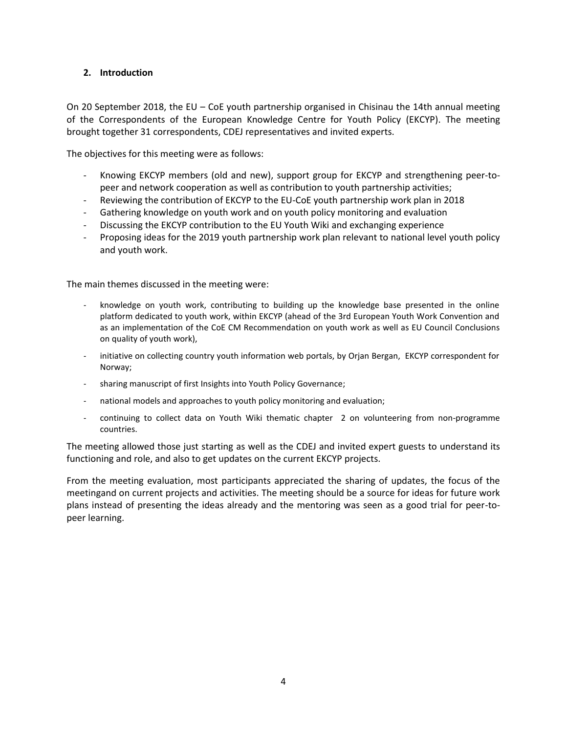#### <span id="page-3-0"></span>**2. Introduction**

On 20 September 2018, the EU – CoE youth partnership organised in Chisinau the 14th annual meeting of the Correspondents of the European Knowledge Centre for Youth Policy (EKCYP). The meeting brought together 31 correspondents, CDEJ representatives and invited experts.

The objectives for this meeting were as follows:

- Knowing EKCYP members (old and new), support group for EKCYP and strengthening peer-topeer and network cooperation as well as contribution to youth partnership activities;
- Reviewing the contribution of EKCYP to the EU-CoE youth partnership work plan in 2018
- Gathering knowledge on youth work and on youth policy monitoring and evaluation
- Discussing the EKCYP contribution to the EU Youth Wiki and exchanging experience
- Proposing ideas for the 2019 youth partnership work plan relevant to national level youth policy and youth work.

The main themes discussed in the meeting were:

- knowledge on youth work, contributing to building up the knowledge base presented in the online platform dedicated to youth work, within EKCYP (ahead of the 3rd European Youth Work Convention and as an implementation of the CoE CM Recommendation on youth work as well as EU Council Conclusions on quality of youth work),
- initiative on collecting country youth information web portals, by Orjan Bergan, EKCYP correspondent for Norway;
- sharing manuscript of first Insights into Youth Policy Governance;
- national models and approaches to youth policy monitoring and evaluation;
- continuing to collect data on Youth Wiki thematic chapter 2 on volunteering from non-programme countries.

The meeting allowed those just starting as well as the CDEJ and invited expert guests to understand its functioning and role, and also to get updates on the current EKCYP projects.

From the meeting evaluation, most participants appreciated the sharing of updates, the focus of the meetingand on current projects and activities. The meeting should be a source for ideas for future work plans instead of presenting the ideas already and the mentoring was seen as a good trial for peer-topeer learning.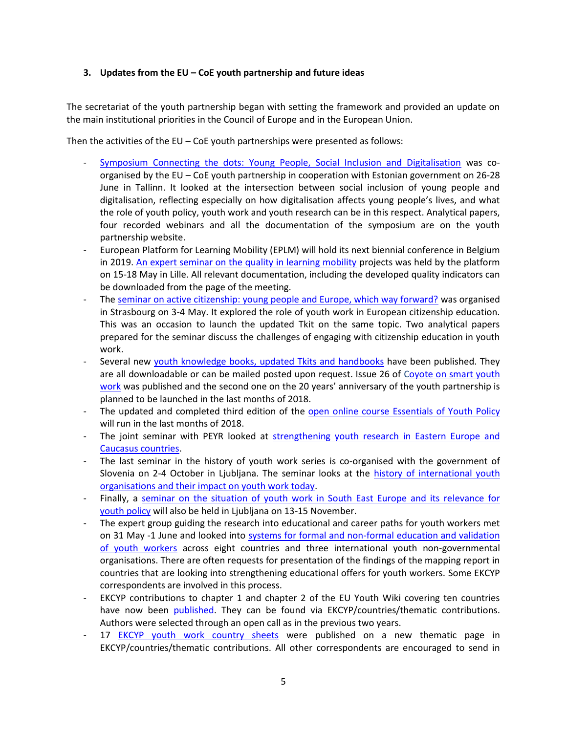### <span id="page-4-0"></span>**3. Updates from the EU – CoE youth partnership and future ideas**

The secretariat of the youth partnership began with setting the framework and provided an update on the main institutional priorities in the Council of Europe and in the European Union.

Then the activities of the EU – CoE youth partnerships were presented as follows:

- [Symposium Connecting the dots: Young People, Social Inclusion and Digitalisation](https://pjp-eu.coe.int/en/web/youth-partnership/symposium-2018) was coorganised by the EU – CoE youth partnership in cooperation with Estonian government on 26-28 June in Tallinn. It looked at the intersection between social inclusion of young people and digitalisation, reflecting especially on how digitalisation affects young people's lives, and what the role of youth policy, youth work and youth research can be in this respect. Analytical papers, four recorded webinars and all the documentation of the symposium are on the youth partnership website.
- European Platform for Learning Mobility (EPLM) will hold its next biennial conference in Belgium in 2019. [An expert seminar on the quality in learning mobility](https://pjp-eu.coe.int/en/web/youth-partnership/lm-expert-seminar-2018) projects was held by the platform on 15-18 May in Lille. All relevant documentation, including the developed quality indicators can be downloaded from the page of the meeting.
- The seminar on active [citizenship: young people and Europe, which way forward?](https://pjp-eu.coe.int/en/web/youth-partnership/seminar-yw-in-citizenship-education) was organised in Strasbourg on 3-4 May. It explored the role of youth work in European citizenship education. This was an occasion to launch the updated Tkit on the same topic. Two analytical papers prepared for the seminar discuss the challenges of engaging with citizenship education in youth work.
- Several new [youth knowledge books, updated Tkits and handbooks](https://pjp-eu.coe.int/en/web/youth-partnership/publications) have been published. They are all downloadable or can be mailed posted upon request. Issue 26 of Coyote on smart youth [work](https://pjp-eu.coe.int/en/web/coyote-magazine) was published and the second one on the 20 years' anniversary of the youth partnership is planned to be launched in the last months of 2018.
- The updated and completed third edition of the [open online course Essentials of Youth Policy](https://pjp-eu.coe.int/en/web/youth-partnership/online-course-on-youth-policy) will run in the last months of 2018.
- The joint seminar with PEYR looked at [strengthening youth research in Eastern Europe and](https://pjp-eu.coe.int/en/web/youth-partnership/meeting-2018)  [Caucasus countries.](https://pjp-eu.coe.int/en/web/youth-partnership/meeting-2018)
- The last seminar in the history of youth work series is co-organised with the government of Slovenia on 2-4 October in Ljubljana. The seminar looks at the history of international youth [organisations and their impact on youth work today.](https://pjp-eu.coe.int/en/web/youth-partnership/workshop-history-youth-work-2018)
- Finally, a seminar on the situation of youth work in South East Europe and its relevance for [youth policy](https://pjp-eu.coe.int/en/web/youth-partnership/peer-learning-seminar-see-2018) will also be held in Ljubljana on 13-15 November.
- The expert group guiding the research into educational and career paths for youth workers met on 31 May -1 June and looked into [systems for formal and non-formal education and validation](https://pjp-eu.coe.int/en/web/youth-partnership/expert-group-meeting-on-researching-educational-and-career-paths-for-youth-workers)  [of youth workers](https://pjp-eu.coe.int/en/web/youth-partnership/expert-group-meeting-on-researching-educational-and-career-paths-for-youth-workers) across eight countries and three international youth non-governmental organisations. There are often requests for presentation of the findings of the mapping report in countries that are looking into strengthening educational offers for youth workers. Some EKCYP correspondents are involved in this process.
- EKCYP contributions to chapter 1 and chapter 2 of the EU Youth Wiki covering ten countries have now been [published.](https://pjp-eu.coe.int/en/web/youth-partnership/contribution-eu-youth-wiki) They can be found via EKCYP/countries/thematic contributions. Authors were selected through an open call as in the previous two years.
- 17 [EKCYP youth work country sheets](https://pjp-eu.coe.int/en/web/youth-partnership/country-information-youth-work) were published on a new thematic page in EKCYP/countries/thematic contributions. All other correspondents are encouraged to send in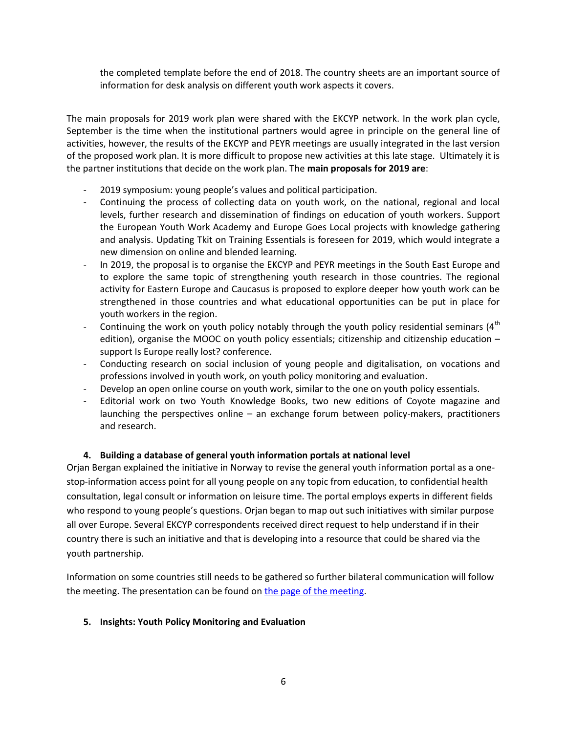the completed template before the end of 2018. The country sheets are an important source of information for desk analysis on different youth work aspects it covers.

The main proposals for 2019 work plan were shared with the EKCYP network. In the work plan cycle, September is the time when the institutional partners would agree in principle on the general line of activities, however, the results of the EKCYP and PEYR meetings are usually integrated in the last version of the proposed work plan. It is more difficult to propose new activities at this late stage. Ultimately it is the partner institutions that decide on the work plan. The **main proposals for 2019 are**:

- 2019 symposium: young people's values and political participation.
- Continuing the process of collecting data on youth work, on the national, regional and local levels, further research and dissemination of findings on education of youth workers. Support the European Youth Work Academy and Europe Goes Local projects with knowledge gathering and analysis. Updating Tkit on Training Essentials is foreseen for 2019, which would integrate a new dimension on online and blended learning.
- In 2019, the proposal is to organise the EKCYP and PEYR meetings in the South East Europe and to explore the same topic of strengthening youth research in those countries. The regional activity for Eastern Europe and Caucasus is proposed to explore deeper how youth work can be strengthened in those countries and what educational opportunities can be put in place for youth workers in the region.
- Continuing the work on youth policy notably through the youth policy residential seminars  $(4<sup>th</sup>$ edition), organise the MOOC on youth policy essentials; citizenship and citizenship education – support Is Europe really lost? conference.
- Conducting research on social inclusion of young people and digitalisation, on vocations and professions involved in youth work, on youth policy monitoring and evaluation.
- Develop an open online course on youth work, similar to the one on youth policy essentials.
- Editorial work on two Youth Knowledge Books, two new editions of Coyote magazine and launching the perspectives online – an exchange forum between policy-makers, practitioners and research.

# <span id="page-5-0"></span>**4. Building a database of general youth information portals at national level**

Orjan Bergan explained the initiative in Norway to revise the general youth information portal as a onestop-information access point for all young people on any topic from education, to confidential health consultation, legal consult or information on leisure time. The portal employs experts in different fields who respond to young people's questions. Orjan began to map out such initiatives with similar purpose all over Europe. Several EKCYP correspondents received direct request to help understand if in their country there is such an initiative and that is developing into a resource that could be shared via the youth partnership.

Information on some countries still needs to be gathered so further bilateral communication will follow the meeting. The presentation can be found o[n the page of the meeting.](https://pjp-eu.coe.int/en/web/youth-partnership/meeting-2018)

#### <span id="page-5-1"></span>**5. Insights: Youth Policy Monitoring and Evaluation**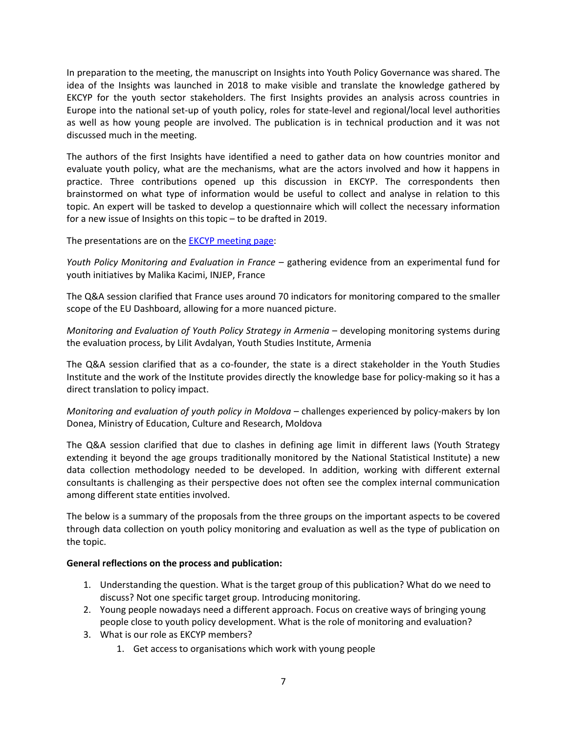In preparation to the meeting, the manuscript on Insights into Youth Policy Governance was shared. The idea of the Insights was launched in 2018 to make visible and translate the knowledge gathered by EKCYP for the youth sector stakeholders. The first Insights provides an analysis across countries in Europe into the national set-up of youth policy, roles for state-level and regional/local level authorities as well as how young people are involved. The publication is in technical production and it was not discussed much in the meeting.

The authors of the first Insights have identified a need to gather data on how countries monitor and evaluate youth policy, what are the mechanisms, what are the actors involved and how it happens in practice. Three contributions opened up this discussion in EKCYP. The correspondents then brainstormed on what type of information would be useful to collect and analyse in relation to this topic. An expert will be tasked to develop a questionnaire which will collect the necessary information for a new issue of Insights on this topic – to be drafted in 2019.

The presentations are on the [EKCYP meeting page:](https://pjp-eu.coe.int/en/web/youth-partnership/meeting-2018)

*Youth Policy Monitoring and Evaluation in France* – gathering evidence from an experimental fund for youth initiatives by Malika Kacimi, INJEP, France

The Q&A session clarified that France uses around 70 indicators for monitoring compared to the smaller scope of the EU Dashboard, allowing for a more nuanced picture.

*Monitoring and Evaluation of Youth Policy Strategy in Armenia* – developing monitoring systems during the evaluation process, by Lilit Avdalyan, Youth Studies Institute, Armenia

The Q&A session clarified that as a co-founder, the state is a direct stakeholder in the Youth Studies Institute and the work of the Institute provides directly the knowledge base for policy-making so it has a direct translation to policy impact.

*Monitoring and evaluation of youth policy in Moldova* – challenges experienced by policy-makers by Ion Donea, Ministry of Education, Culture and Research, Moldova

The Q&A session clarified that due to clashes in defining age limit in different laws (Youth Strategy extending it beyond the age groups traditionally monitored by the National Statistical Institute) a new data collection methodology needed to be developed. In addition, working with different external consultants is challenging as their perspective does not often see the complex internal communication among different state entities involved.

The below is a summary of the proposals from the three groups on the important aspects to be covered through data collection on youth policy monitoring and evaluation as well as the type of publication on the topic.

# **General reflections on the process and publication:**

- 1. Understanding the question. What is the target group of this publication? What do we need to discuss? Not one specific target group. Introducing monitoring.
- 2. Young people nowadays need a different approach. Focus on creative ways of bringing young people close to youth policy development. What is the role of monitoring and evaluation?
- 3. What is our role as EKCYP members?
	- 1. Get access to organisations which work with young people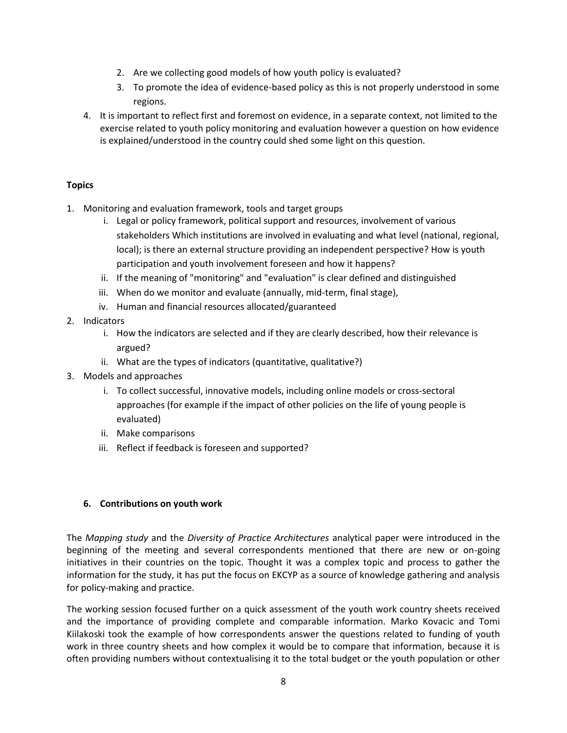- 2. Are we collecting good models of how youth policy is evaluated?
- 3. To promote the idea of evidence-based policy as this is not properly understood in some regions.
- 4. It is important to reflect first and foremost on evidence, in a separate context, not limited to the exercise related to youth policy monitoring and evaluation however a question on how evidence is explained/understood in the country could shed some light on this question.

# **Topics**

- 1. Monitoring and evaluation framework, tools and target groups
	- i. Legal or policy framework, political support and resources, involvement of various stakeholders Which institutions are involved in evaluating and what level (national, regional, local); is there an external structure providing an independent perspective? How is youth participation and youth involvement foreseen and how it happens?
	- ii. If the meaning of "monitoring" and "evaluation" is clear defined and distinguished
	- iii. When do we monitor and evaluate (annually, mid-term, final stage),
	- iv. Human and financial resources allocated/guaranteed
- 2. Indicators
	- i. How the indicators are selected and if they are clearly described, how their relevance is argued?
	- ii. What are the types of indicators (quantitative, qualitative?)
- 3. Models and approaches
	- i. To collect successful, innovative models, including online models or cross-sectoral approaches (for example if the impact of other policies on the life of young people is evaluated)
	- ii. Make comparisons
	- iii. Reflect if feedback is foreseen and supported?

# <span id="page-7-0"></span>**6. Contributions on youth work**

The *Mapping study* and the *Diversity of Practice Architectures* analytical paper were introduced in the beginning of the meeting and several correspondents mentioned that there are new or on-going initiatives in their countries on the topic. Thought it was a complex topic and process to gather the information for the study, it has put the focus on EKCYP as a source of knowledge gathering and analysis for policy-making and practice.

The working session focused further on a quick assessment of the youth work country sheets received and the importance of providing complete and comparable information. Marko Kovacic and Tomi Kiilakoski took the example of how correspondents answer the questions related to funding of youth work in three country sheets and how complex it would be to compare that information, because it is often providing numbers without contextualising it to the total budget or the youth population or other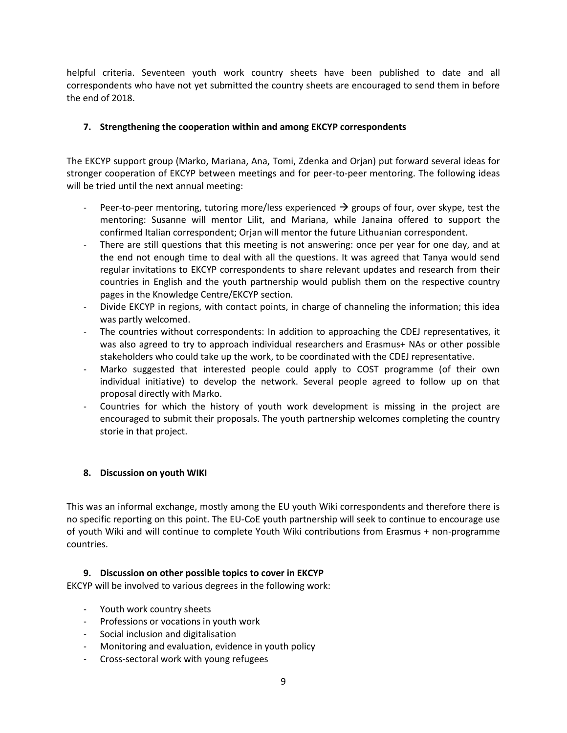helpful criteria. Seventeen youth work country sheets have been published to date and all correspondents who have not yet submitted the country sheets are encouraged to send them in before the end of 2018.

# <span id="page-8-0"></span>**7. Strengthening the cooperation within and among EKCYP correspondents**

The EKCYP support group (Marko, Mariana, Ana, Tomi, Zdenka and Orjan) put forward several ideas for stronger cooperation of EKCYP between meetings and for peer-to-peer mentoring. The following ideas will be tried until the next annual meeting:

- Peer-to-peer mentoring, tutoring more/less experienced  $\rightarrow$  groups of four, over skype, test the mentoring: Susanne will mentor Lilit, and Mariana, while Janaina offered to support the confirmed Italian correspondent; Orjan will mentor the future Lithuanian correspondent.
- There are still questions that this meeting is not answering: once per year for one day, and at the end not enough time to deal with all the questions. It was agreed that Tanya would send regular invitations to EKCYP correspondents to share relevant updates and research from their countries in English and the youth partnership would publish them on the respective country pages in the Knowledge Centre/EKCYP section.
- Divide EKCYP in regions, with contact points, in charge of channeling the information; this idea was partly welcomed.
- The countries without correspondents: In addition to approaching the CDEJ representatives, it was also agreed to try to approach individual researchers and Erasmus+ NAs or other possible stakeholders who could take up the work, to be coordinated with the CDEJ representative.
- Marko suggested that interested people could apply to COST programme (of their own individual initiative) to develop the network. Several people agreed to follow up on that proposal directly with Marko.
- Countries for which the history of youth work development is missing in the project are encouraged to submit their proposals. The youth partnership welcomes completing the country storie in that project.

# <span id="page-8-1"></span>**8. Discussion on youth WIKI**

This was an informal exchange, mostly among the EU youth Wiki correspondents and therefore there is no specific reporting on this point. The EU-CoE youth partnership will seek to continue to encourage use of youth Wiki and will continue to complete Youth Wiki contributions from Erasmus + non-programme countries.

# <span id="page-8-2"></span>**9. Discussion on other possible topics to cover in EKCYP**

EKCYP will be involved to various degrees in the following work:

- Youth work country sheets
- Professions or vocations in youth work
- Social inclusion and digitalisation
- Monitoring and evaluation, evidence in youth policy
- Cross-sectoral work with young refugees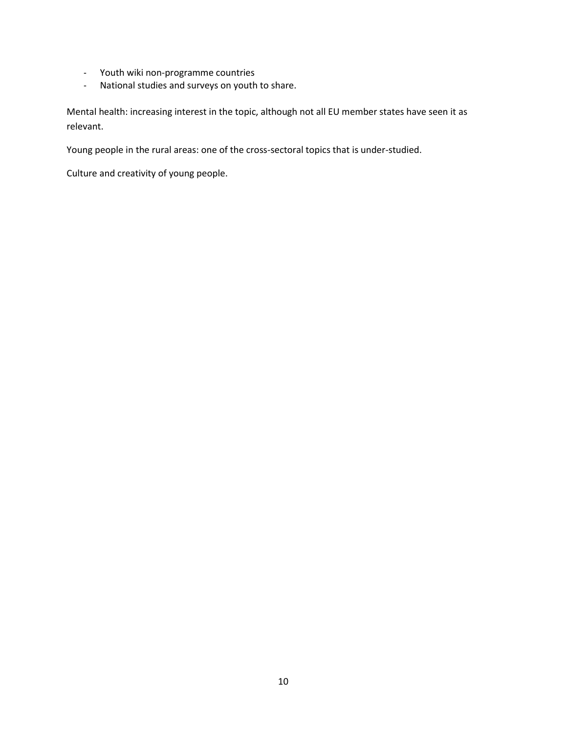- Youth wiki non-programme countries
- National studies and surveys on youth to share.

Mental health: increasing interest in the topic, although not all EU member states have seen it as relevant.

Young people in the rural areas: one of the cross-sectoral topics that is under-studied.

Culture and creativity of young people.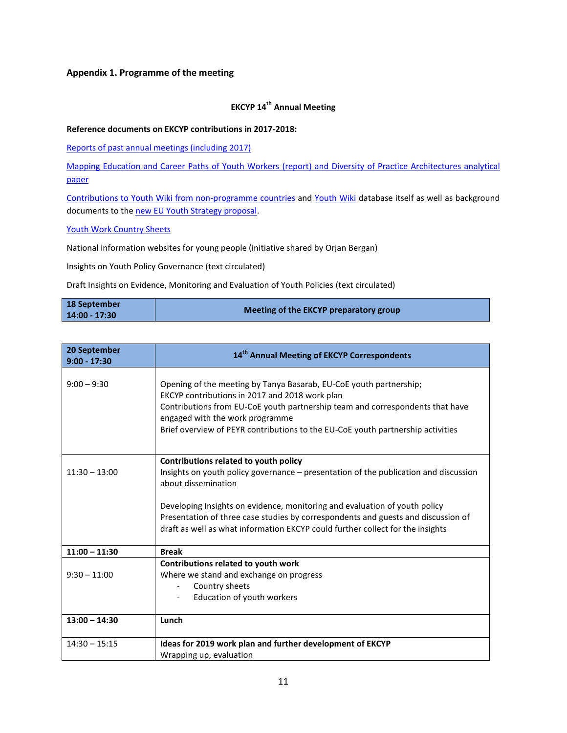#### <span id="page-10-0"></span>**Appendix 1. Programme of the meeting**

#### **EKCYP 14th Annual Meeting**

#### **Reference documents on EKCYP contributions in 2017-2018:**

[Reports of past annual meetings \(including 2017\)](https://pjp-eu.coe.int/en/web/youth-partnership/ekcyp-correspondents?inheritRedirect=true)

[Mapping Education and Career Paths of Youth Workers](https://pjp-eu.coe.int/en/web/youth-partnership/expert-group-meeting-on-researching-educational-and-career-paths-for-youth-workers) (report) and Diversity of Practice Architectures analytical paper

[Contributions to Youth Wiki from non-programme countries](https://pjp-eu.coe.int/en/web/youth-partnership/contribution-eu-youth-wiki) and [Youth Wiki](https://eacea.ec.europa.eu/national-policies/en/youthwiki) database itself as well as background documents to th[e new EU Youth Strategy proposal.](https://ec.europa.eu/youth/policy/youth-strategy_en)

#### [Youth Work Country Sheets](https://pjp-eu.coe.int/en/web/youth-partnership/country-information-youth-work)

National information websites for young people (initiative shared by Orjan Bergan)

Insights on Youth Policy Governance (text circulated)

Draft Insights on Evidence, Monitoring and Evaluation of Youth Policies (text circulated)

| 18 September  | Meeting of the EKCYP preparatory group |
|---------------|----------------------------------------|
| 14:00 - 17:30 |                                        |

| 20 September<br>$9:00 - 17:30$ | 14 <sup>th</sup> Annual Meeting of EKCYP Correspondents                                                                                                                                                                                                                                                                     |  |  |  |
|--------------------------------|-----------------------------------------------------------------------------------------------------------------------------------------------------------------------------------------------------------------------------------------------------------------------------------------------------------------------------|--|--|--|
| $9:00 - 9:30$                  | Opening of the meeting by Tanya Basarab, EU-CoE youth partnership;<br>EKCYP contributions in 2017 and 2018 work plan<br>Contributions from EU-CoE youth partnership team and correspondents that have<br>engaged with the work programme<br>Brief overview of PEYR contributions to the EU-CoE youth partnership activities |  |  |  |
| $11:30 - 13:00$                | Contributions related to youth policy<br>Insights on youth policy governance – presentation of the publication and discussion<br>about dissemination                                                                                                                                                                        |  |  |  |
|                                | Developing Insights on evidence, monitoring and evaluation of youth policy<br>Presentation of three case studies by correspondents and guests and discussion of<br>draft as well as what information EKCYP could further collect for the insights                                                                           |  |  |  |
| $11:00 - 11:30$                | <b>Break</b>                                                                                                                                                                                                                                                                                                                |  |  |  |
|                                | Contributions related to youth work                                                                                                                                                                                                                                                                                         |  |  |  |
| $9:30 - 11:00$                 | Where we stand and exchange on progress                                                                                                                                                                                                                                                                                     |  |  |  |
|                                | Country sheets                                                                                                                                                                                                                                                                                                              |  |  |  |
|                                | Education of youth workers                                                                                                                                                                                                                                                                                                  |  |  |  |
| $13:00 - 14:30$                | Lunch                                                                                                                                                                                                                                                                                                                       |  |  |  |
| $14:30 - 15:15$                | Ideas for 2019 work plan and further development of EKCYP                                                                                                                                                                                                                                                                   |  |  |  |
|                                | Wrapping up, evaluation                                                                                                                                                                                                                                                                                                     |  |  |  |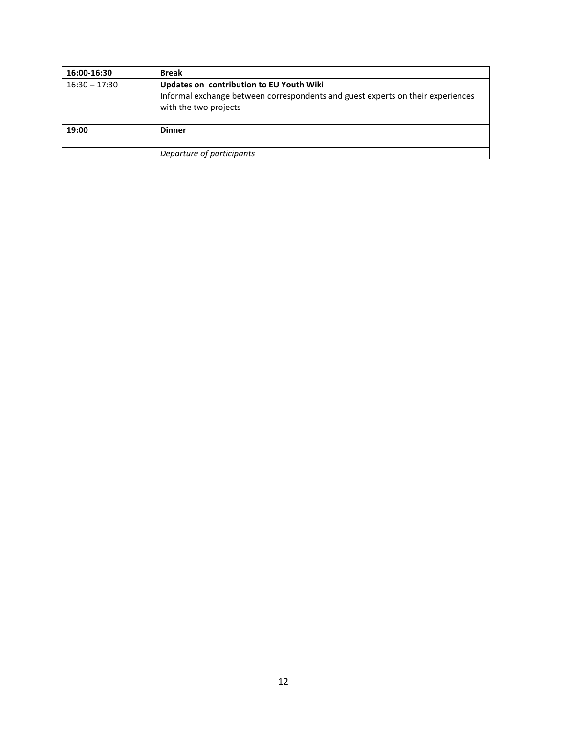| 16:00-16:30     | <b>Break</b>                                                                                                                                         |
|-----------------|------------------------------------------------------------------------------------------------------------------------------------------------------|
| $16:30 - 17:30$ | Updates on contribution to EU Youth Wiki<br>Informal exchange between correspondents and guest experts on their experiences<br>with the two projects |
| 19:00           | <b>Dinner</b>                                                                                                                                        |
|                 | Departure of participants                                                                                                                            |